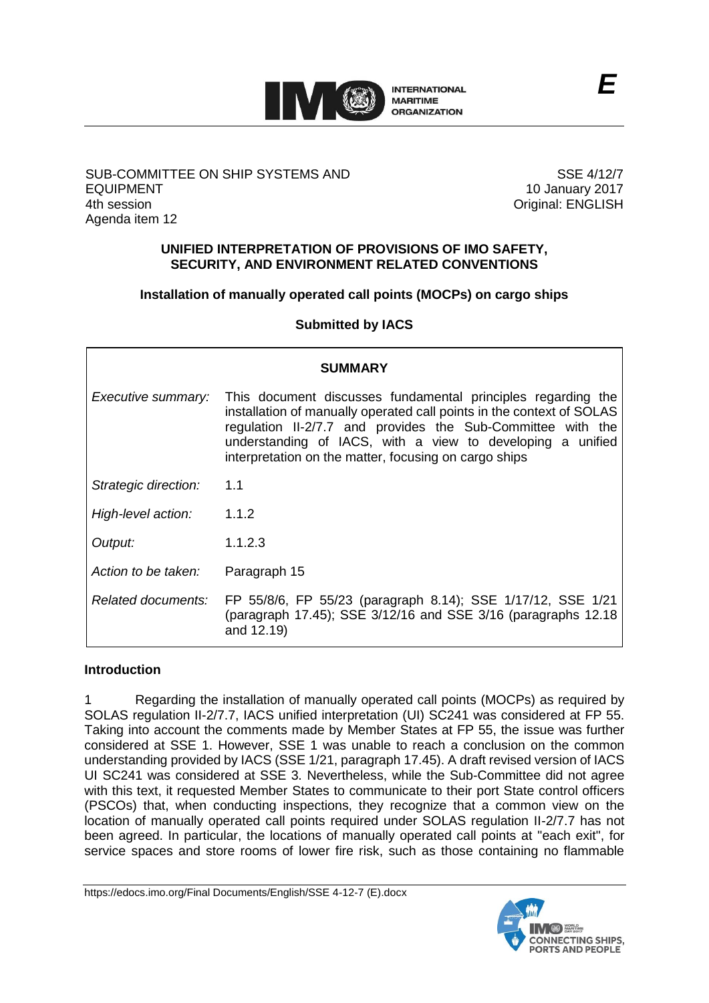

# SUB-COMMITTEE ON SHIP SYSTEMS AND EQUIPMENT 4th session Agenda item 12

SSE 4/12/7 10 January 2017 Original: ENGLISH

# **UNIFIED INTERPRETATION OF PROVISIONS OF IMO SAFETY, SECURITY, AND ENVIRONMENT RELATED CONVENTIONS**

# **Installation of manually operated call points (MOCPs) on cargo ships**

**Submitted by IACS**

| <b>SUMMARY</b>       |                                                                                                                                                                                                                                                                                                                             |
|----------------------|-----------------------------------------------------------------------------------------------------------------------------------------------------------------------------------------------------------------------------------------------------------------------------------------------------------------------------|
| Executive summary:   | This document discusses fundamental principles regarding the<br>installation of manually operated call points in the context of SOLAS<br>regulation II-2/7.7 and provides the Sub-Committee with the<br>understanding of IACS, with a view to developing a unified<br>interpretation on the matter, focusing on cargo ships |
| Strategic direction: | 1.1                                                                                                                                                                                                                                                                                                                         |
| High-level action:   | 1.1.2                                                                                                                                                                                                                                                                                                                       |
| Output:              | 1.1.2.3                                                                                                                                                                                                                                                                                                                     |
| Action to be taken:  | Paragraph 15                                                                                                                                                                                                                                                                                                                |
| Related documents:   | FP 55/8/6, FP 55/23 (paragraph 8.14); SSE 1/17/12, SSE 1/21<br>(paragraph 17.45); SSE 3/12/16 and SSE 3/16 (paragraphs 12.18<br>and 12.19)                                                                                                                                                                                  |

# **Introduction**

1 Regarding the installation of manually operated call points (MOCPs) as required by SOLAS regulation II-2/7.7, IACS unified interpretation (UI) SC241 was considered at FP 55. Taking into account the comments made by Member States at FP 55, the issue was further considered at SSE 1. However, SSE 1 was unable to reach a conclusion on the common understanding provided by IACS (SSE 1/21, paragraph 17.45). A draft revised version of IACS UI SC241 was considered at SSE 3. Nevertheless, while the Sub-Committee did not agree with this text, it requested Member States to communicate to their port State control officers (PSCOs) that, when conducting inspections, they recognize that a common view on the location of manually operated call points required under SOLAS regulation II-2/7.7 has not been agreed. In particular, the locations of manually operated call points at "each exit", for service spaces and store rooms of lower fire risk, such as those containing no flammable

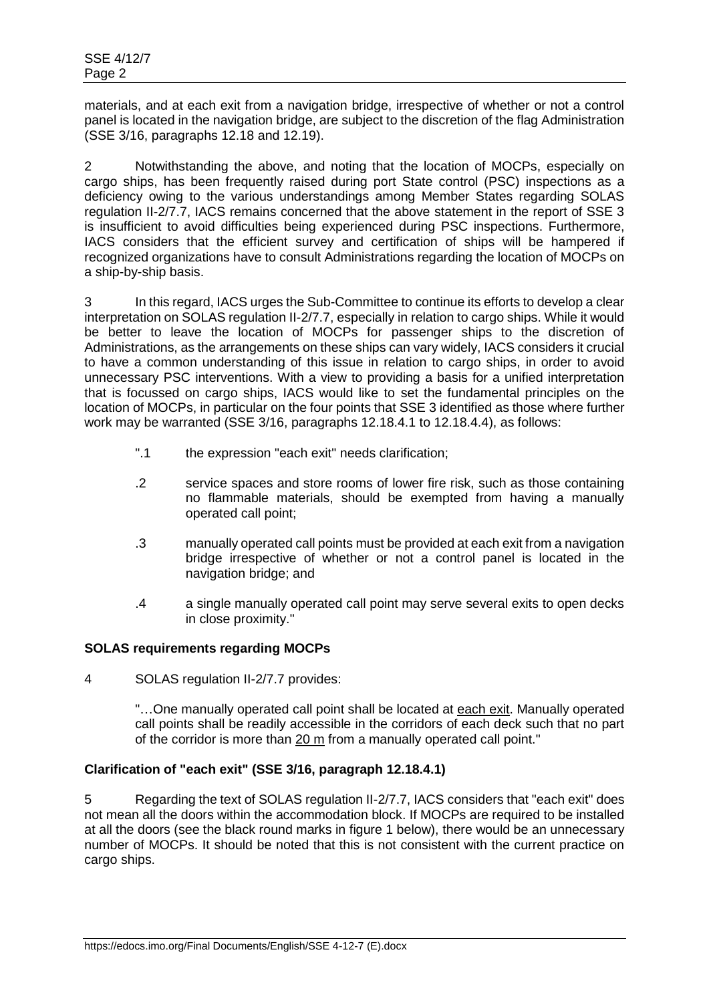materials, and at each exit from a navigation bridge, irrespective of whether or not a control panel is located in the navigation bridge, are subject to the discretion of the flag Administration (SSE 3/16, paragraphs 12.18 and 12.19).

2 Notwithstanding the above, and noting that the location of MOCPs, especially on cargo ships, has been frequently raised during port State control (PSC) inspections as a deficiency owing to the various understandings among Member States regarding SOLAS regulation II-2/7.7, IACS remains concerned that the above statement in the report of SSE 3 is insufficient to avoid difficulties being experienced during PSC inspections. Furthermore, IACS considers that the efficient survey and certification of ships will be hampered if recognized organizations have to consult Administrations regarding the location of MOCPs on a ship-by-ship basis.

3 In this regard, IACS urges the Sub-Committee to continue its efforts to develop a clear interpretation on SOLAS regulation II-2/7.7, especially in relation to cargo ships. While it would be better to leave the location of MOCPs for passenger ships to the discretion of Administrations, as the arrangements on these ships can vary widely, IACS considers it crucial to have a common understanding of this issue in relation to cargo ships, in order to avoid unnecessary PSC interventions. With a view to providing a basis for a unified interpretation that is focussed on cargo ships, IACS would like to set the fundamental principles on the location of MOCPs, in particular on the four points that SSE 3 identified as those where further work may be warranted (SSE 3/16, paragraphs 12.18.4.1 to 12.18.4.4), as follows:

- ".1 the expression "each exit" needs clarification;
- .2 service spaces and store rooms of lower fire risk, such as those containing no flammable materials, should be exempted from having a manually operated call point;
- .3 manually operated call points must be provided at each exit from a navigation bridge irrespective of whether or not a control panel is located in the navigation bridge; and
- .4 a single manually operated call point may serve several exits to open decks in close proximity."

# **SOLAS requirements regarding MOCPs**

4 SOLAS regulation II-2/7.7 provides:

"... One manually operated call point shall be located at each exit. Manually operated call points shall be readily accessible in the corridors of each deck such that no part of the corridor is more than 20 m from a manually operated call point."

# **Clarification of "each exit" (SSE 3/16, paragraph 12.18.4.1)**

5 Regarding the text of SOLAS regulation II-2/7.7, IACS considers that "each exit" does not mean all the doors within the accommodation block. If MOCPs are required to be installed at all the doors (see the black round marks in figure 1 below), there would be an unnecessary number of MOCPs. It should be noted that this is not consistent with the current practice on cargo ships.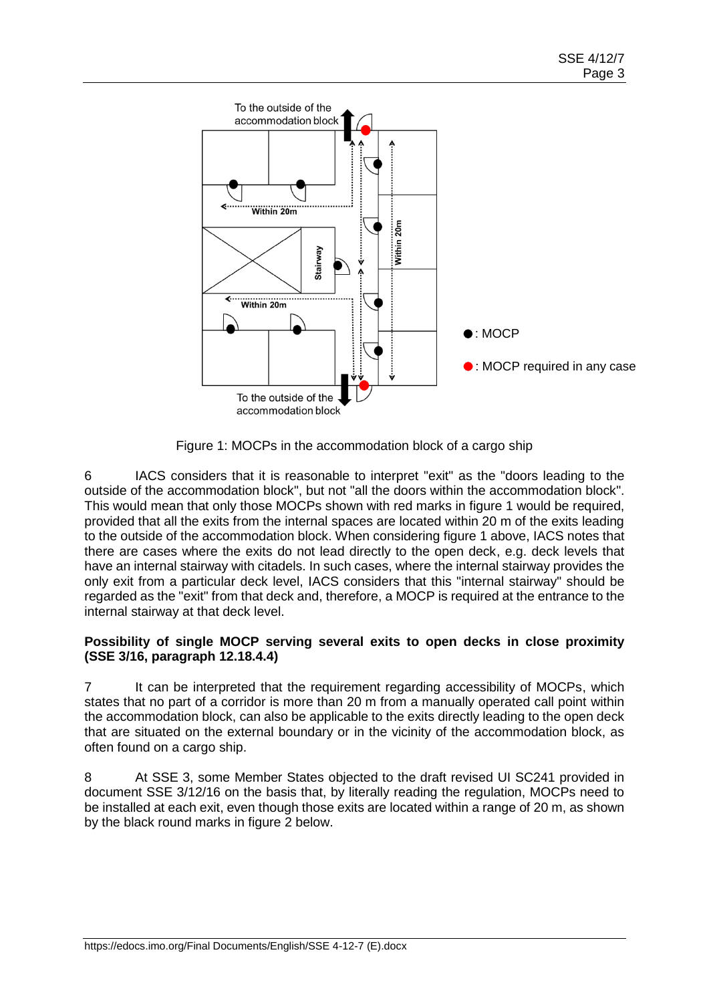

Figure 1: MOCPs in the accommodation block of a cargo ship

6 IACS considers that it is reasonable to interpret "exit" as the "doors leading to the outside of the accommodation block", but not "all the doors within the accommodation block". This would mean that only those MOCPs shown with red marks in figure 1 would be required, provided that all the exits from the internal spaces are located within 20 m of the exits leading to the outside of the accommodation block. When considering figure 1 above, IACS notes that there are cases where the exits do not lead directly to the open deck, e.g. deck levels that have an internal stairway with citadels. In such cases, where the internal stairway provides the only exit from a particular deck level, IACS considers that this "internal stairway" should be regarded as the "exit" from that deck and, therefore, a MOCP is required at the entrance to the internal stairway at that deck level.

# **Possibility of single MOCP serving several exits to open decks in close proximity (SSE 3/16, paragraph 12.18.4.4)**

7 It can be interpreted that the requirement regarding accessibility of MOCPs, which states that no part of a corridor is more than 20 m from a manually operated call point within the accommodation block, can also be applicable to the exits directly leading to the open deck that are situated on the external boundary or in the vicinity of the accommodation block, as often found on a cargo ship.

8 At SSE 3, some Member States objected to the draft revised UI SC241 provided in document SSE 3/12/16 on the basis that, by literally reading the regulation, MOCPs need to be installed at each exit, even though those exits are located within a range of 20 m, as shown by the black round marks in figure 2 below.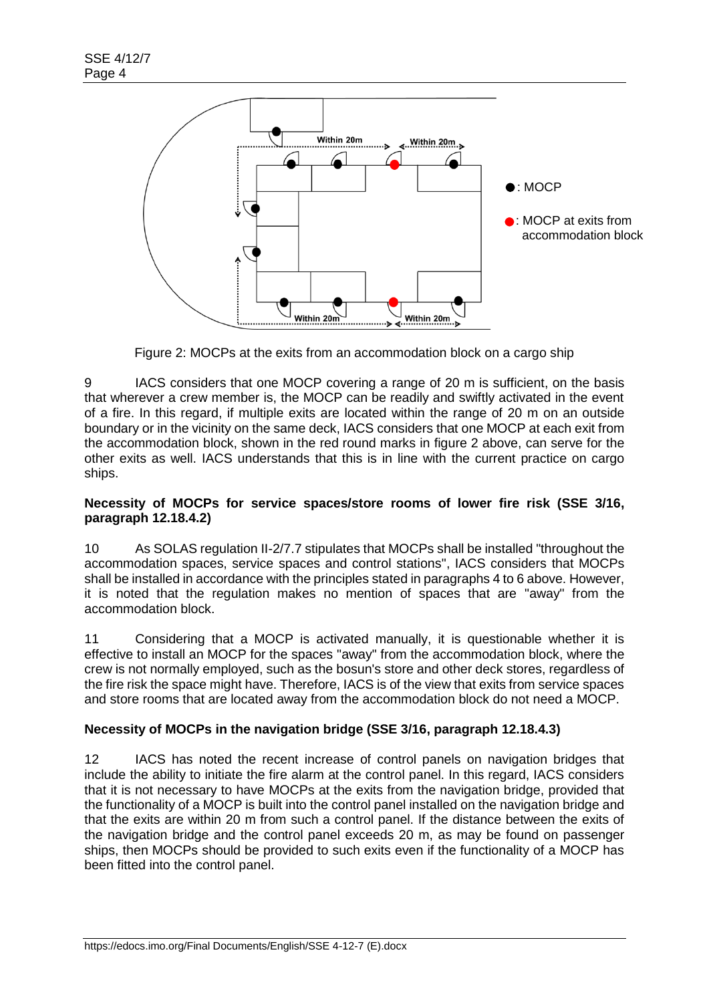

Figure 2: MOCPs at the exits from an accommodation block on a cargo ship

9 IACS considers that one MOCP covering a range of 20 m is sufficient, on the basis that wherever a crew member is, the MOCP can be readily and swiftly activated in the event of a fire. In this regard, if multiple exits are located within the range of 20 m on an outside boundary or in the vicinity on the same deck, IACS considers that one MOCP at each exit from the accommodation block, shown in the red round marks in figure 2 above, can serve for the other exits as well. IACS understands that this is in line with the current practice on cargo ships.

# **Necessity of MOCPs for service spaces/store rooms of lower fire risk (SSE 3/16, paragraph 12.18.4.2)**

10 As SOLAS regulation II-2/7.7 stipulates that MOCPs shall be installed "throughout the accommodation spaces, service spaces and control stations", IACS considers that MOCPs shall be installed in accordance with the principles stated in paragraphs 4 to 6 above. However, it is noted that the regulation makes no mention of spaces that are "away" from the accommodation block.

11 Considering that a MOCP is activated manually, it is questionable whether it is effective to install an MOCP for the spaces "away" from the accommodation block, where the crew is not normally employed, such as the bosun's store and other deck stores, regardless of the fire risk the space might have. Therefore, IACS is of the view that exits from service spaces and store rooms that are located away from the accommodation block do not need a MOCP.

# **Necessity of MOCPs in the navigation bridge (SSE 3/16, paragraph 12.18.4.3)**

12 IACS has noted the recent increase of control panels on navigation bridges that include the ability to initiate the fire alarm at the control panel. In this regard, IACS considers that it is not necessary to have MOCPs at the exits from the navigation bridge, provided that the functionality of a MOCP is built into the control panel installed on the navigation bridge and that the exits are within 20 m from such a control panel. If the distance between the exits of the navigation bridge and the control panel exceeds 20 m, as may be found on passenger ships, then MOCPs should be provided to such exits even if the functionality of a MOCP has been fitted into the control panel.